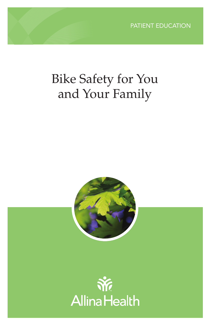# Bike Safety for You and Your Family



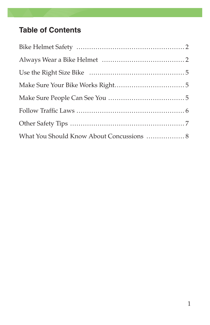# **Table of Contents**

| What You Should Know About Concussions  8 |  |
|-------------------------------------------|--|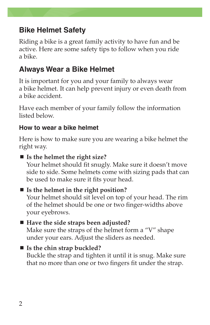# **Bike Helmet Safety**

Riding a bike is a great family activity to have fun and be active. Here are some safety tips to follow when you ride a bike.

# **Always Wear a Bike Helmet**

It is important for you and your family to always wear a bike helmet. It can help prevent injury or even death from a bike accident.

Have each member of your family follow the information listed below.

### **How to wear a bike helmet**

Here is how to make sure you are wearing a bike helmet the right way.

#### **Is the helmet the right size?**

Your helmet should fit snugly. Make sure it doesn't move side to side. Some helmets come with sizing pads that can be used to make sure it fits your head.

# **Is the helmet in the right position?**

Your helmet should sit level on top of your head. The rim of the helmet should be one or two finger-widths above your eyebrows.

#### ■ Have the side straps been adjusted?

Make sure the straps of the helmet form a "V" shape under your ears. Adjust the sliders as needed.

#### **Is the chin strap buckled?**

Buckle the strap and tighten it until it is snug. Make sure that no more than one or two fingers fit under the strap.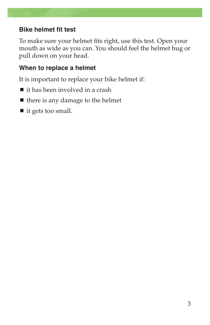#### **Bike helmet fit test**

To make sure your helmet fits right, use this test. Open your mouth as wide as you can. You should feel the helmet hug or pull down on your head.

#### **When to replace a helmet**

It is important to replace your bike helmet if:

- it has been involved in a crash
- $\blacksquare$  there is any damage to the helmet
- $\blacksquare$  it gets too small.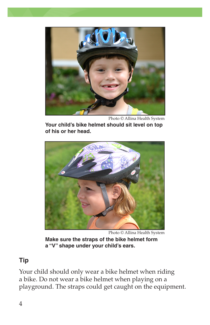

Photo © Allina Health System

**Your child's bike helmet should sit level on top of his or her head.**



Photo © Allina Health System

**Make sure the straps of the bike helmet form a "V" shape under your child's ears.**

### **Tip**

Your child should only wear a bike helmet when riding a bike. Do not wear a bike helmet when playing on a playground. The straps could get caught on the equipment.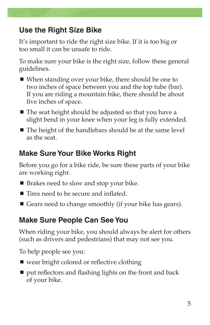# **Use the Right Size Bike**

It's important to ride the right size bike. If it is too big or too small it can be unsafe to ride.

To make sure your bike is the right size, follow these general guidelines.

- When standing over your bike, there should be one to two inches of space between you and the top tube (bar). If you are riding a mountain bike, there should be about five inches of space.
- $\blacksquare$  The seat height should be adjusted so that you have a slight bend in your knee when your leg is fully extended.
- The height of the handlebars should be at the same level as the seat.

# **Make Sure Your Bike Works Right**

Before you go for a bike ride, be sure these parts of your bike are working right.

- Brakes need to slow and stop your bike.
- Tires need to be secure and inflated.
- Gears need to change smoothly (if your bike has gears).

# **Make Sure People Can See You**

When riding your bike, you should always be alert for others (such as drivers and pedestrians) that may not see you.

To help people see you:

- wear bright colored or reflective clothing
- $\blacksquare$  put reflectors and flashing lights on the front and back of your bike.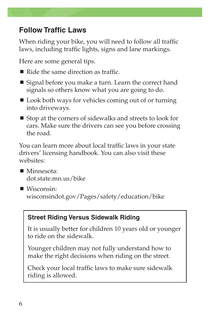# **Follow Traffic Laws**

When riding your bike, you will need to follow all traffic laws, including traffic lights, signs and lane markings.

Here are some general tips.

- Ride the same direction as traffic.
- Signal before you make a turn. Learn the correct hand signals so others know what you are going to do.
- Look both ways for vehicles coming out of or turning into driveways.
- $\blacksquare$  Stop at the corners of sidewalks and streets to look for cars. Make sure the drivers can see you before crossing the road.

You can learn more about local traffic laws in your state drivers' licensing handbook. You can also visit these websites:

- Minnesota: dot.state.mn.us/bike
- Wisconsin: wisconsindot.gov/Pages/safety/education/bike

### **Street Riding Versus Sidewalk Riding**

It is usually better for children 10 years old or younger to ride on the sidewalk.

Younger children may not fully understand how to make the right decisions when riding on the street.

Check your local traffic laws to make sure sidewalk riding is allowed.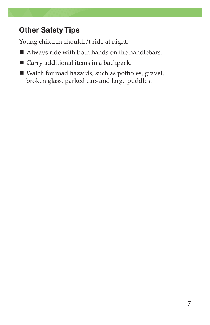# **Other Safety Tips**

Young children shouldn't ride at night.

- Always ride with both hands on the handlebars.
- Carry additional items in a backpack.
- Watch for road hazards, such as potholes, gravel, broken glass, parked cars and large puddles.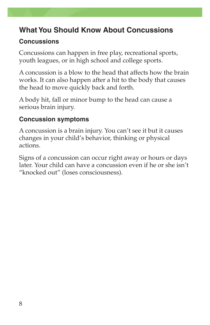### **What You Should Know About Concussions**

#### **Concussions**

Concussions can happen in free play, recreational sports, youth leagues, or in high school and college sports.

A concussion is a blow to the head that affects how the brain works. It can also happen after a hit to the body that causes the head to move quickly back and forth.

A body hit, fall or minor bump to the head can cause a serious brain injury.

#### **Concussion symptoms**

A concussion is a brain injury. You can't see it but it causes changes in your child's behavior, thinking or physical actions.

Signs of a concussion can occur right away or hours or days later. Your child can have a concussion even if he or she isn't "knocked out" (loses consciousness).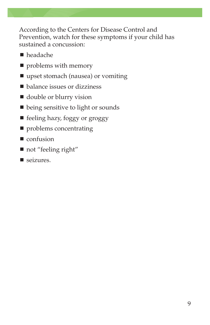According to the Centers for Disease Control and Prevention, watch for these symptoms if your child has sustained a concussion:

- headache
- **P** problems with memory
- upset stomach (nausea) or vomiting
- balance issues or dizziness
- double or blurry vision
- being sensitive to light or sounds
- feeling hazy, foggy or groggy
- **Peroblems** concentrating
- $\blacksquare$  confusion
- not "feeling right"
- seizures.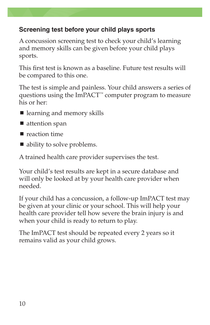#### **Screening test before your child plays sports**

A concussion screening test to check your child's learning and memory skills can be given before your child plays sports.

This first test is known as a baseline. Future test results will be compared to this one.

The test is simple and painless. Your child answers a series of questions using the ImPACT<sup>™</sup> computer program to measure his or her:

- learning and memory skills
- $\blacksquare$  attention span
- $\blacksquare$  reaction time
- ability to solve problems.

A trained health care provider supervises the test.

Your child's test results are kept in a secure database and will only be looked at by your health care provider when needed.

If your child has a concussion, a follow-up ImPACT test may be given at your clinic or your school. This will help your health care provider tell how severe the brain injury is and when your child is ready to return to play.

The ImPACT test should be repeated every 2 years so it remains valid as your child grows.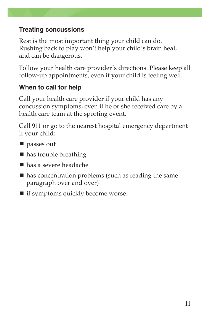#### **Treating concussions**

Rest is the most important thing your child can do. Rushing back to play won't help your child's brain heal, and can be dangerous.

Follow your health care provider's directions. Please keep all follow-up appointments, even if your child is feeling well.

### **When to call for help**

Call your health care provider if your child has any concussion symptoms, even if he or she received care by a health care team at the sporting event.

Call 911 or go to the nearest hospital emergency department if your child:

- **passes out**
- has trouble breathing
- has a severe headache
- has concentration problems (such as reading the same paragraph over and over)
- $\blacksquare$  if symptoms quickly become worse.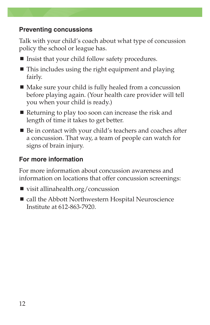#### **Preventing concussions**

Talk with your child's coach about what type of concussion policy the school or league has.

- $\blacksquare$  Insist that your child follow safety procedures.
- $\blacksquare$  This includes using the right equipment and playing fairly.
- Make sure your child is fully healed from a concussion before playing again. (Your health care provider will tell you when your child is ready.)
- Returning to play too soon can increase the risk and length of time it takes to get better.
- Be in contact with your child's teachers and coaches after a concussion. That way, a team of people can watch for signs of brain injury.

### **For more information**

For more information about concussion awareness and information on locations that offer concussion screenings:

- visit allinahealth.org/concussion
- call the Abbott Northwestern Hospital Neuroscience Institute at 612-863-7920.